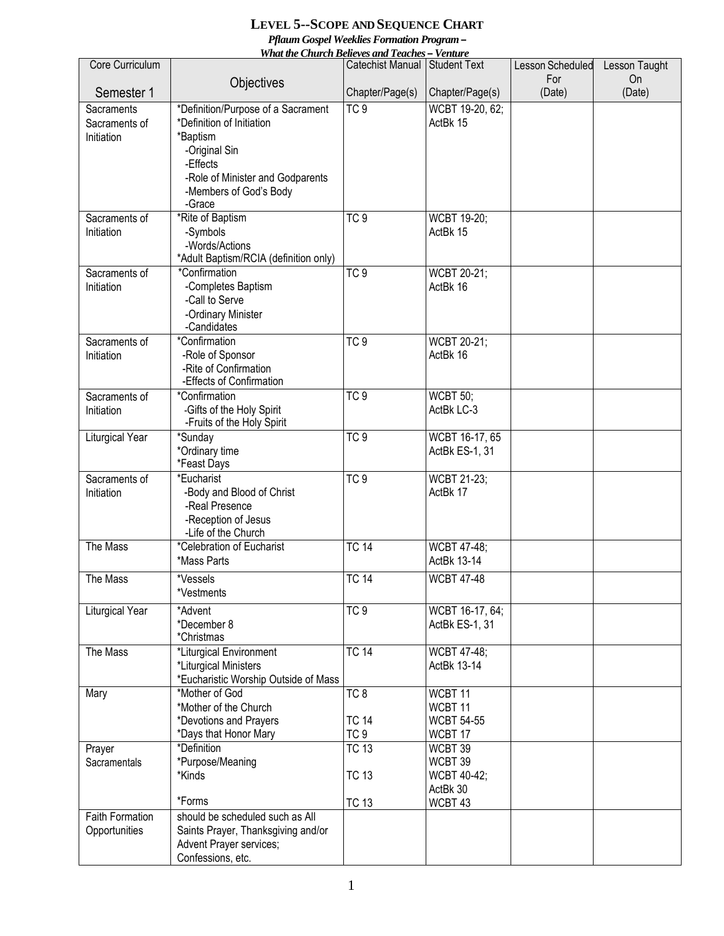## **LEVEL 5--SCOPE AND SEQUENCE CHART**  *Pflaum Gospel Weeklies Formation Program – What the Church Believes and Teaches – Venture*

| Catechist Manual Student Text<br>For<br><b>On</b><br>Objectives<br>Semester 1<br>Chapter/Page(s)<br>(Date)<br>Chapter/Page(s)<br>(Date)<br>TC <sub>9</sub><br>WCBT 19-20, 62;<br>*Definition/Purpose of a Sacrament<br>Sacraments<br>ActBk 15<br>*Definition of Initiation<br>Sacraments of<br>Initiation<br>*Baptism<br>-Original Sin<br>-Effects<br>-Role of Minister and Godparents<br>-Members of God's Body<br>-Grace<br>*Rite of Baptism<br>TC <sub>9</sub><br>Sacraments of<br><b>WCBT 19-20;</b><br>-Symbols<br>ActBk 15<br>Initiation<br>-Words/Actions<br>*Adult Baptism/RCIA (definition only)<br>TC9<br>*Confirmation<br>WCBT 20-21;<br>Sacraments of<br>-Completes Baptism<br>ActBk 16<br>Initiation<br>-Call to Serve<br>-Ordinary Minister<br>-Candidates<br>*Confirmation<br>TC9<br>WCBT 20-21;<br>Sacraments of<br>-Role of Sponsor<br>ActBk 16<br>Initiation<br>-Rite of Confirmation<br>-Effects of Confirmation<br>*Confirmation<br>TC <sub>9</sub><br>Sacraments of<br><b>WCBT 50;</b><br>ActBk LC-3<br>-Gifts of the Holy Spirit<br>Initiation<br>-Fruits of the Holy Spirit<br>Liturgical Year<br>TC <sub>9</sub><br>*Sunday<br>WCBT 16-17, 65<br>*Ordinary time<br>ActBk ES-1, 31<br>*Feast Days<br>TC <sub>9</sub><br>WCBT 21-23;<br>Sacraments of<br>*Eucharist<br>-Body and Blood of Christ<br>Initiation<br>ActBk 17<br>-Real Presence<br>-Reception of Jesus<br>-Life of the Church<br>The Mass<br>*Celebration of Eucharist<br><b>TC 14</b><br>WCBT 47-48;<br>ActBk 13-14<br>*Mass Parts<br>The Mass<br>*Vessels<br><b>TC 14</b><br><b>WCBT 47-48</b><br>*Vestments<br>TC9<br>Liturgical Year<br>*Advent<br>WCBT 16-17, 64;<br>*December 8<br>ActBk ES-1, 31<br>*Christmas<br><b>TC 14</b><br>The Mass<br>*Liturgical Environment<br><b>WCBT 47-48;</b><br>*Liturgical Ministers<br>ActBk 13-14<br>*Eucharistic Worship Outside of Mass<br>*Mother of God<br>Mary<br>TC <sub>8</sub><br>WCBT 11<br>*Mother of the Church<br>WCBT 11<br>*Devotions and Prayers<br><b>TC 14</b><br><b>WCBT 54-55</b><br>TC <sub>9</sub><br>*Days that Honor Mary<br>WCBT 17<br>*Definition<br><b>TC 13</b><br>WCBT 39<br>Prayer<br>*Purpose/Meaning<br>WCBT 39<br>Sacramentals<br>*Kinds<br><b>TC 13</b><br>WCBT 40-42;<br>ActBk 30<br>*Forms<br>WCBT 43<br><b>TC 13</b><br><b>Faith Formation</b><br>should be scheduled such as All<br>Opportunities<br>Saints Prayer, Thanksgiving and/or<br>Advent Prayer services; | Core Curriculum | <u>wnai ine Church Beueves and Teaches — venture</u> | Lesson Scheduled |               |
|-------------------------------------------------------------------------------------------------------------------------------------------------------------------------------------------------------------------------------------------------------------------------------------------------------------------------------------------------------------------------------------------------------------------------------------------------------------------------------------------------------------------------------------------------------------------------------------------------------------------------------------------------------------------------------------------------------------------------------------------------------------------------------------------------------------------------------------------------------------------------------------------------------------------------------------------------------------------------------------------------------------------------------------------------------------------------------------------------------------------------------------------------------------------------------------------------------------------------------------------------------------------------------------------------------------------------------------------------------------------------------------------------------------------------------------------------------------------------------------------------------------------------------------------------------------------------------------------------------------------------------------------------------------------------------------------------------------------------------------------------------------------------------------------------------------------------------------------------------------------------------------------------------------------------------------------------------------------------------------------------------------------------------------------------------------------------------------------------------------------------------------------------------------------------------------------------------------------------------------------------------------------------------------------------------------------------------------------------------------------------------------------------------------------------------------|-----------------|------------------------------------------------------|------------------|---------------|
|                                                                                                                                                                                                                                                                                                                                                                                                                                                                                                                                                                                                                                                                                                                                                                                                                                                                                                                                                                                                                                                                                                                                                                                                                                                                                                                                                                                                                                                                                                                                                                                                                                                                                                                                                                                                                                                                                                                                                                                                                                                                                                                                                                                                                                                                                                                                                                                                                                     |                 |                                                      |                  | Lesson Taught |
|                                                                                                                                                                                                                                                                                                                                                                                                                                                                                                                                                                                                                                                                                                                                                                                                                                                                                                                                                                                                                                                                                                                                                                                                                                                                                                                                                                                                                                                                                                                                                                                                                                                                                                                                                                                                                                                                                                                                                                                                                                                                                                                                                                                                                                                                                                                                                                                                                                     |                 |                                                      |                  |               |
|                                                                                                                                                                                                                                                                                                                                                                                                                                                                                                                                                                                                                                                                                                                                                                                                                                                                                                                                                                                                                                                                                                                                                                                                                                                                                                                                                                                                                                                                                                                                                                                                                                                                                                                                                                                                                                                                                                                                                                                                                                                                                                                                                                                                                                                                                                                                                                                                                                     |                 |                                                      |                  |               |
|                                                                                                                                                                                                                                                                                                                                                                                                                                                                                                                                                                                                                                                                                                                                                                                                                                                                                                                                                                                                                                                                                                                                                                                                                                                                                                                                                                                                                                                                                                                                                                                                                                                                                                                                                                                                                                                                                                                                                                                                                                                                                                                                                                                                                                                                                                                                                                                                                                     |                 |                                                      |                  |               |
|                                                                                                                                                                                                                                                                                                                                                                                                                                                                                                                                                                                                                                                                                                                                                                                                                                                                                                                                                                                                                                                                                                                                                                                                                                                                                                                                                                                                                                                                                                                                                                                                                                                                                                                                                                                                                                                                                                                                                                                                                                                                                                                                                                                                                                                                                                                                                                                                                                     |                 |                                                      |                  |               |
|                                                                                                                                                                                                                                                                                                                                                                                                                                                                                                                                                                                                                                                                                                                                                                                                                                                                                                                                                                                                                                                                                                                                                                                                                                                                                                                                                                                                                                                                                                                                                                                                                                                                                                                                                                                                                                                                                                                                                                                                                                                                                                                                                                                                                                                                                                                                                                                                                                     |                 |                                                      |                  |               |
|                                                                                                                                                                                                                                                                                                                                                                                                                                                                                                                                                                                                                                                                                                                                                                                                                                                                                                                                                                                                                                                                                                                                                                                                                                                                                                                                                                                                                                                                                                                                                                                                                                                                                                                                                                                                                                                                                                                                                                                                                                                                                                                                                                                                                                                                                                                                                                                                                                     |                 |                                                      |                  |               |
|                                                                                                                                                                                                                                                                                                                                                                                                                                                                                                                                                                                                                                                                                                                                                                                                                                                                                                                                                                                                                                                                                                                                                                                                                                                                                                                                                                                                                                                                                                                                                                                                                                                                                                                                                                                                                                                                                                                                                                                                                                                                                                                                                                                                                                                                                                                                                                                                                                     |                 |                                                      |                  |               |
|                                                                                                                                                                                                                                                                                                                                                                                                                                                                                                                                                                                                                                                                                                                                                                                                                                                                                                                                                                                                                                                                                                                                                                                                                                                                                                                                                                                                                                                                                                                                                                                                                                                                                                                                                                                                                                                                                                                                                                                                                                                                                                                                                                                                                                                                                                                                                                                                                                     |                 |                                                      |                  |               |
|                                                                                                                                                                                                                                                                                                                                                                                                                                                                                                                                                                                                                                                                                                                                                                                                                                                                                                                                                                                                                                                                                                                                                                                                                                                                                                                                                                                                                                                                                                                                                                                                                                                                                                                                                                                                                                                                                                                                                                                                                                                                                                                                                                                                                                                                                                                                                                                                                                     |                 |                                                      |                  |               |
|                                                                                                                                                                                                                                                                                                                                                                                                                                                                                                                                                                                                                                                                                                                                                                                                                                                                                                                                                                                                                                                                                                                                                                                                                                                                                                                                                                                                                                                                                                                                                                                                                                                                                                                                                                                                                                                                                                                                                                                                                                                                                                                                                                                                                                                                                                                                                                                                                                     |                 |                                                      |                  |               |
|                                                                                                                                                                                                                                                                                                                                                                                                                                                                                                                                                                                                                                                                                                                                                                                                                                                                                                                                                                                                                                                                                                                                                                                                                                                                                                                                                                                                                                                                                                                                                                                                                                                                                                                                                                                                                                                                                                                                                                                                                                                                                                                                                                                                                                                                                                                                                                                                                                     |                 |                                                      |                  |               |
|                                                                                                                                                                                                                                                                                                                                                                                                                                                                                                                                                                                                                                                                                                                                                                                                                                                                                                                                                                                                                                                                                                                                                                                                                                                                                                                                                                                                                                                                                                                                                                                                                                                                                                                                                                                                                                                                                                                                                                                                                                                                                                                                                                                                                                                                                                                                                                                                                                     |                 |                                                      |                  |               |
|                                                                                                                                                                                                                                                                                                                                                                                                                                                                                                                                                                                                                                                                                                                                                                                                                                                                                                                                                                                                                                                                                                                                                                                                                                                                                                                                                                                                                                                                                                                                                                                                                                                                                                                                                                                                                                                                                                                                                                                                                                                                                                                                                                                                                                                                                                                                                                                                                                     |                 |                                                      |                  |               |
|                                                                                                                                                                                                                                                                                                                                                                                                                                                                                                                                                                                                                                                                                                                                                                                                                                                                                                                                                                                                                                                                                                                                                                                                                                                                                                                                                                                                                                                                                                                                                                                                                                                                                                                                                                                                                                                                                                                                                                                                                                                                                                                                                                                                                                                                                                                                                                                                                                     |                 |                                                      |                  |               |
|                                                                                                                                                                                                                                                                                                                                                                                                                                                                                                                                                                                                                                                                                                                                                                                                                                                                                                                                                                                                                                                                                                                                                                                                                                                                                                                                                                                                                                                                                                                                                                                                                                                                                                                                                                                                                                                                                                                                                                                                                                                                                                                                                                                                                                                                                                                                                                                                                                     |                 |                                                      |                  |               |
|                                                                                                                                                                                                                                                                                                                                                                                                                                                                                                                                                                                                                                                                                                                                                                                                                                                                                                                                                                                                                                                                                                                                                                                                                                                                                                                                                                                                                                                                                                                                                                                                                                                                                                                                                                                                                                                                                                                                                                                                                                                                                                                                                                                                                                                                                                                                                                                                                                     |                 |                                                      |                  |               |
|                                                                                                                                                                                                                                                                                                                                                                                                                                                                                                                                                                                                                                                                                                                                                                                                                                                                                                                                                                                                                                                                                                                                                                                                                                                                                                                                                                                                                                                                                                                                                                                                                                                                                                                                                                                                                                                                                                                                                                                                                                                                                                                                                                                                                                                                                                                                                                                                                                     |                 |                                                      |                  |               |
|                                                                                                                                                                                                                                                                                                                                                                                                                                                                                                                                                                                                                                                                                                                                                                                                                                                                                                                                                                                                                                                                                                                                                                                                                                                                                                                                                                                                                                                                                                                                                                                                                                                                                                                                                                                                                                                                                                                                                                                                                                                                                                                                                                                                                                                                                                                                                                                                                                     |                 |                                                      |                  |               |
|                                                                                                                                                                                                                                                                                                                                                                                                                                                                                                                                                                                                                                                                                                                                                                                                                                                                                                                                                                                                                                                                                                                                                                                                                                                                                                                                                                                                                                                                                                                                                                                                                                                                                                                                                                                                                                                                                                                                                                                                                                                                                                                                                                                                                                                                                                                                                                                                                                     |                 |                                                      |                  |               |
|                                                                                                                                                                                                                                                                                                                                                                                                                                                                                                                                                                                                                                                                                                                                                                                                                                                                                                                                                                                                                                                                                                                                                                                                                                                                                                                                                                                                                                                                                                                                                                                                                                                                                                                                                                                                                                                                                                                                                                                                                                                                                                                                                                                                                                                                                                                                                                                                                                     |                 |                                                      |                  |               |
|                                                                                                                                                                                                                                                                                                                                                                                                                                                                                                                                                                                                                                                                                                                                                                                                                                                                                                                                                                                                                                                                                                                                                                                                                                                                                                                                                                                                                                                                                                                                                                                                                                                                                                                                                                                                                                                                                                                                                                                                                                                                                                                                                                                                                                                                                                                                                                                                                                     |                 |                                                      |                  |               |
|                                                                                                                                                                                                                                                                                                                                                                                                                                                                                                                                                                                                                                                                                                                                                                                                                                                                                                                                                                                                                                                                                                                                                                                                                                                                                                                                                                                                                                                                                                                                                                                                                                                                                                                                                                                                                                                                                                                                                                                                                                                                                                                                                                                                                                                                                                                                                                                                                                     |                 |                                                      |                  |               |
|                                                                                                                                                                                                                                                                                                                                                                                                                                                                                                                                                                                                                                                                                                                                                                                                                                                                                                                                                                                                                                                                                                                                                                                                                                                                                                                                                                                                                                                                                                                                                                                                                                                                                                                                                                                                                                                                                                                                                                                                                                                                                                                                                                                                                                                                                                                                                                                                                                     |                 |                                                      |                  |               |
|                                                                                                                                                                                                                                                                                                                                                                                                                                                                                                                                                                                                                                                                                                                                                                                                                                                                                                                                                                                                                                                                                                                                                                                                                                                                                                                                                                                                                                                                                                                                                                                                                                                                                                                                                                                                                                                                                                                                                                                                                                                                                                                                                                                                                                                                                                                                                                                                                                     |                 |                                                      |                  |               |
|                                                                                                                                                                                                                                                                                                                                                                                                                                                                                                                                                                                                                                                                                                                                                                                                                                                                                                                                                                                                                                                                                                                                                                                                                                                                                                                                                                                                                                                                                                                                                                                                                                                                                                                                                                                                                                                                                                                                                                                                                                                                                                                                                                                                                                                                                                                                                                                                                                     |                 |                                                      |                  |               |
|                                                                                                                                                                                                                                                                                                                                                                                                                                                                                                                                                                                                                                                                                                                                                                                                                                                                                                                                                                                                                                                                                                                                                                                                                                                                                                                                                                                                                                                                                                                                                                                                                                                                                                                                                                                                                                                                                                                                                                                                                                                                                                                                                                                                                                                                                                                                                                                                                                     |                 |                                                      |                  |               |
|                                                                                                                                                                                                                                                                                                                                                                                                                                                                                                                                                                                                                                                                                                                                                                                                                                                                                                                                                                                                                                                                                                                                                                                                                                                                                                                                                                                                                                                                                                                                                                                                                                                                                                                                                                                                                                                                                                                                                                                                                                                                                                                                                                                                                                                                                                                                                                                                                                     |                 |                                                      |                  |               |
|                                                                                                                                                                                                                                                                                                                                                                                                                                                                                                                                                                                                                                                                                                                                                                                                                                                                                                                                                                                                                                                                                                                                                                                                                                                                                                                                                                                                                                                                                                                                                                                                                                                                                                                                                                                                                                                                                                                                                                                                                                                                                                                                                                                                                                                                                                                                                                                                                                     |                 |                                                      |                  |               |
|                                                                                                                                                                                                                                                                                                                                                                                                                                                                                                                                                                                                                                                                                                                                                                                                                                                                                                                                                                                                                                                                                                                                                                                                                                                                                                                                                                                                                                                                                                                                                                                                                                                                                                                                                                                                                                                                                                                                                                                                                                                                                                                                                                                                                                                                                                                                                                                                                                     |                 |                                                      |                  |               |
|                                                                                                                                                                                                                                                                                                                                                                                                                                                                                                                                                                                                                                                                                                                                                                                                                                                                                                                                                                                                                                                                                                                                                                                                                                                                                                                                                                                                                                                                                                                                                                                                                                                                                                                                                                                                                                                                                                                                                                                                                                                                                                                                                                                                                                                                                                                                                                                                                                     |                 |                                                      |                  |               |
|                                                                                                                                                                                                                                                                                                                                                                                                                                                                                                                                                                                                                                                                                                                                                                                                                                                                                                                                                                                                                                                                                                                                                                                                                                                                                                                                                                                                                                                                                                                                                                                                                                                                                                                                                                                                                                                                                                                                                                                                                                                                                                                                                                                                                                                                                                                                                                                                                                     |                 |                                                      |                  |               |
|                                                                                                                                                                                                                                                                                                                                                                                                                                                                                                                                                                                                                                                                                                                                                                                                                                                                                                                                                                                                                                                                                                                                                                                                                                                                                                                                                                                                                                                                                                                                                                                                                                                                                                                                                                                                                                                                                                                                                                                                                                                                                                                                                                                                                                                                                                                                                                                                                                     |                 |                                                      |                  |               |
|                                                                                                                                                                                                                                                                                                                                                                                                                                                                                                                                                                                                                                                                                                                                                                                                                                                                                                                                                                                                                                                                                                                                                                                                                                                                                                                                                                                                                                                                                                                                                                                                                                                                                                                                                                                                                                                                                                                                                                                                                                                                                                                                                                                                                                                                                                                                                                                                                                     |                 |                                                      |                  |               |
|                                                                                                                                                                                                                                                                                                                                                                                                                                                                                                                                                                                                                                                                                                                                                                                                                                                                                                                                                                                                                                                                                                                                                                                                                                                                                                                                                                                                                                                                                                                                                                                                                                                                                                                                                                                                                                                                                                                                                                                                                                                                                                                                                                                                                                                                                                                                                                                                                                     |                 |                                                      |                  |               |
|                                                                                                                                                                                                                                                                                                                                                                                                                                                                                                                                                                                                                                                                                                                                                                                                                                                                                                                                                                                                                                                                                                                                                                                                                                                                                                                                                                                                                                                                                                                                                                                                                                                                                                                                                                                                                                                                                                                                                                                                                                                                                                                                                                                                                                                                                                                                                                                                                                     |                 |                                                      |                  |               |
|                                                                                                                                                                                                                                                                                                                                                                                                                                                                                                                                                                                                                                                                                                                                                                                                                                                                                                                                                                                                                                                                                                                                                                                                                                                                                                                                                                                                                                                                                                                                                                                                                                                                                                                                                                                                                                                                                                                                                                                                                                                                                                                                                                                                                                                                                                                                                                                                                                     |                 |                                                      |                  |               |
|                                                                                                                                                                                                                                                                                                                                                                                                                                                                                                                                                                                                                                                                                                                                                                                                                                                                                                                                                                                                                                                                                                                                                                                                                                                                                                                                                                                                                                                                                                                                                                                                                                                                                                                                                                                                                                                                                                                                                                                                                                                                                                                                                                                                                                                                                                                                                                                                                                     |                 |                                                      |                  |               |
|                                                                                                                                                                                                                                                                                                                                                                                                                                                                                                                                                                                                                                                                                                                                                                                                                                                                                                                                                                                                                                                                                                                                                                                                                                                                                                                                                                                                                                                                                                                                                                                                                                                                                                                                                                                                                                                                                                                                                                                                                                                                                                                                                                                                                                                                                                                                                                                                                                     |                 |                                                      |                  |               |
|                                                                                                                                                                                                                                                                                                                                                                                                                                                                                                                                                                                                                                                                                                                                                                                                                                                                                                                                                                                                                                                                                                                                                                                                                                                                                                                                                                                                                                                                                                                                                                                                                                                                                                                                                                                                                                                                                                                                                                                                                                                                                                                                                                                                                                                                                                                                                                                                                                     |                 |                                                      |                  |               |
|                                                                                                                                                                                                                                                                                                                                                                                                                                                                                                                                                                                                                                                                                                                                                                                                                                                                                                                                                                                                                                                                                                                                                                                                                                                                                                                                                                                                                                                                                                                                                                                                                                                                                                                                                                                                                                                                                                                                                                                                                                                                                                                                                                                                                                                                                                                                                                                                                                     |                 |                                                      |                  |               |
|                                                                                                                                                                                                                                                                                                                                                                                                                                                                                                                                                                                                                                                                                                                                                                                                                                                                                                                                                                                                                                                                                                                                                                                                                                                                                                                                                                                                                                                                                                                                                                                                                                                                                                                                                                                                                                                                                                                                                                                                                                                                                                                                                                                                                                                                                                                                                                                                                                     |                 |                                                      |                  |               |
|                                                                                                                                                                                                                                                                                                                                                                                                                                                                                                                                                                                                                                                                                                                                                                                                                                                                                                                                                                                                                                                                                                                                                                                                                                                                                                                                                                                                                                                                                                                                                                                                                                                                                                                                                                                                                                                                                                                                                                                                                                                                                                                                                                                                                                                                                                                                                                                                                                     |                 |                                                      |                  |               |
|                                                                                                                                                                                                                                                                                                                                                                                                                                                                                                                                                                                                                                                                                                                                                                                                                                                                                                                                                                                                                                                                                                                                                                                                                                                                                                                                                                                                                                                                                                                                                                                                                                                                                                                                                                                                                                                                                                                                                                                                                                                                                                                                                                                                                                                                                                                                                                                                                                     |                 |                                                      |                  |               |
|                                                                                                                                                                                                                                                                                                                                                                                                                                                                                                                                                                                                                                                                                                                                                                                                                                                                                                                                                                                                                                                                                                                                                                                                                                                                                                                                                                                                                                                                                                                                                                                                                                                                                                                                                                                                                                                                                                                                                                                                                                                                                                                                                                                                                                                                                                                                                                                                                                     |                 |                                                      |                  |               |
|                                                                                                                                                                                                                                                                                                                                                                                                                                                                                                                                                                                                                                                                                                                                                                                                                                                                                                                                                                                                                                                                                                                                                                                                                                                                                                                                                                                                                                                                                                                                                                                                                                                                                                                                                                                                                                                                                                                                                                                                                                                                                                                                                                                                                                                                                                                                                                                                                                     |                 |                                                      |                  |               |
|                                                                                                                                                                                                                                                                                                                                                                                                                                                                                                                                                                                                                                                                                                                                                                                                                                                                                                                                                                                                                                                                                                                                                                                                                                                                                                                                                                                                                                                                                                                                                                                                                                                                                                                                                                                                                                                                                                                                                                                                                                                                                                                                                                                                                                                                                                                                                                                                                                     |                 |                                                      |                  |               |
|                                                                                                                                                                                                                                                                                                                                                                                                                                                                                                                                                                                                                                                                                                                                                                                                                                                                                                                                                                                                                                                                                                                                                                                                                                                                                                                                                                                                                                                                                                                                                                                                                                                                                                                                                                                                                                                                                                                                                                                                                                                                                                                                                                                                                                                                                                                                                                                                                                     |                 |                                                      |                  |               |
|                                                                                                                                                                                                                                                                                                                                                                                                                                                                                                                                                                                                                                                                                                                                                                                                                                                                                                                                                                                                                                                                                                                                                                                                                                                                                                                                                                                                                                                                                                                                                                                                                                                                                                                                                                                                                                                                                                                                                                                                                                                                                                                                                                                                                                                                                                                                                                                                                                     |                 |                                                      |                  |               |
|                                                                                                                                                                                                                                                                                                                                                                                                                                                                                                                                                                                                                                                                                                                                                                                                                                                                                                                                                                                                                                                                                                                                                                                                                                                                                                                                                                                                                                                                                                                                                                                                                                                                                                                                                                                                                                                                                                                                                                                                                                                                                                                                                                                                                                                                                                                                                                                                                                     |                 |                                                      |                  |               |
|                                                                                                                                                                                                                                                                                                                                                                                                                                                                                                                                                                                                                                                                                                                                                                                                                                                                                                                                                                                                                                                                                                                                                                                                                                                                                                                                                                                                                                                                                                                                                                                                                                                                                                                                                                                                                                                                                                                                                                                                                                                                                                                                                                                                                                                                                                                                                                                                                                     |                 |                                                      |                  |               |
|                                                                                                                                                                                                                                                                                                                                                                                                                                                                                                                                                                                                                                                                                                                                                                                                                                                                                                                                                                                                                                                                                                                                                                                                                                                                                                                                                                                                                                                                                                                                                                                                                                                                                                                                                                                                                                                                                                                                                                                                                                                                                                                                                                                                                                                                                                                                                                                                                                     |                 |                                                      |                  |               |
|                                                                                                                                                                                                                                                                                                                                                                                                                                                                                                                                                                                                                                                                                                                                                                                                                                                                                                                                                                                                                                                                                                                                                                                                                                                                                                                                                                                                                                                                                                                                                                                                                                                                                                                                                                                                                                                                                                                                                                                                                                                                                                                                                                                                                                                                                                                                                                                                                                     |                 |                                                      |                  |               |
|                                                                                                                                                                                                                                                                                                                                                                                                                                                                                                                                                                                                                                                                                                                                                                                                                                                                                                                                                                                                                                                                                                                                                                                                                                                                                                                                                                                                                                                                                                                                                                                                                                                                                                                                                                                                                                                                                                                                                                                                                                                                                                                                                                                                                                                                                                                                                                                                                                     |                 |                                                      |                  |               |
|                                                                                                                                                                                                                                                                                                                                                                                                                                                                                                                                                                                                                                                                                                                                                                                                                                                                                                                                                                                                                                                                                                                                                                                                                                                                                                                                                                                                                                                                                                                                                                                                                                                                                                                                                                                                                                                                                                                                                                                                                                                                                                                                                                                                                                                                                                                                                                                                                                     |                 |                                                      |                  |               |
|                                                                                                                                                                                                                                                                                                                                                                                                                                                                                                                                                                                                                                                                                                                                                                                                                                                                                                                                                                                                                                                                                                                                                                                                                                                                                                                                                                                                                                                                                                                                                                                                                                                                                                                                                                                                                                                                                                                                                                                                                                                                                                                                                                                                                                                                                                                                                                                                                                     |                 |                                                      |                  |               |
|                                                                                                                                                                                                                                                                                                                                                                                                                                                                                                                                                                                                                                                                                                                                                                                                                                                                                                                                                                                                                                                                                                                                                                                                                                                                                                                                                                                                                                                                                                                                                                                                                                                                                                                                                                                                                                                                                                                                                                                                                                                                                                                                                                                                                                                                                                                                                                                                                                     |                 |                                                      |                  |               |
|                                                                                                                                                                                                                                                                                                                                                                                                                                                                                                                                                                                                                                                                                                                                                                                                                                                                                                                                                                                                                                                                                                                                                                                                                                                                                                                                                                                                                                                                                                                                                                                                                                                                                                                                                                                                                                                                                                                                                                                                                                                                                                                                                                                                                                                                                                                                                                                                                                     |                 |                                                      |                  |               |
|                                                                                                                                                                                                                                                                                                                                                                                                                                                                                                                                                                                                                                                                                                                                                                                                                                                                                                                                                                                                                                                                                                                                                                                                                                                                                                                                                                                                                                                                                                                                                                                                                                                                                                                                                                                                                                                                                                                                                                                                                                                                                                                                                                                                                                                                                                                                                                                                                                     |                 |                                                      |                  |               |
|                                                                                                                                                                                                                                                                                                                                                                                                                                                                                                                                                                                                                                                                                                                                                                                                                                                                                                                                                                                                                                                                                                                                                                                                                                                                                                                                                                                                                                                                                                                                                                                                                                                                                                                                                                                                                                                                                                                                                                                                                                                                                                                                                                                                                                                                                                                                                                                                                                     |                 |                                                      |                  |               |
|                                                                                                                                                                                                                                                                                                                                                                                                                                                                                                                                                                                                                                                                                                                                                                                                                                                                                                                                                                                                                                                                                                                                                                                                                                                                                                                                                                                                                                                                                                                                                                                                                                                                                                                                                                                                                                                                                                                                                                                                                                                                                                                                                                                                                                                                                                                                                                                                                                     |                 |                                                      |                  |               |
|                                                                                                                                                                                                                                                                                                                                                                                                                                                                                                                                                                                                                                                                                                                                                                                                                                                                                                                                                                                                                                                                                                                                                                                                                                                                                                                                                                                                                                                                                                                                                                                                                                                                                                                                                                                                                                                                                                                                                                                                                                                                                                                                                                                                                                                                                                                                                                                                                                     |                 |                                                      |                  |               |
|                                                                                                                                                                                                                                                                                                                                                                                                                                                                                                                                                                                                                                                                                                                                                                                                                                                                                                                                                                                                                                                                                                                                                                                                                                                                                                                                                                                                                                                                                                                                                                                                                                                                                                                                                                                                                                                                                                                                                                                                                                                                                                                                                                                                                                                                                                                                                                                                                                     |                 |                                                      |                  |               |
| Confessions, etc.                                                                                                                                                                                                                                                                                                                                                                                                                                                                                                                                                                                                                                                                                                                                                                                                                                                                                                                                                                                                                                                                                                                                                                                                                                                                                                                                                                                                                                                                                                                                                                                                                                                                                                                                                                                                                                                                                                                                                                                                                                                                                                                                                                                                                                                                                                                                                                                                                   |                 |                                                      |                  |               |